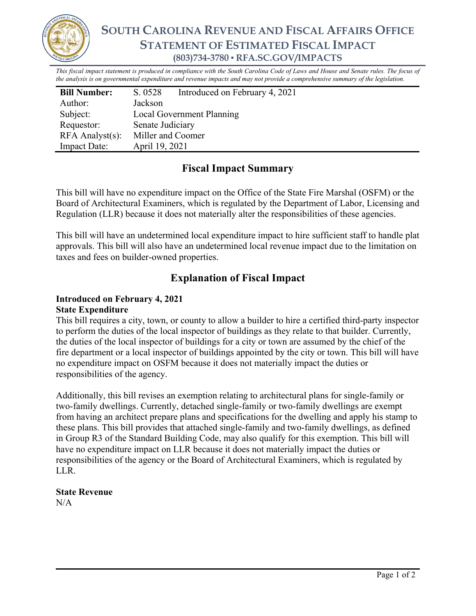

# **SOUTH CAROLINA REVENUE AND FISCAL AFFAIRS OFFICE STATEMENT OF ESTIMATED FISCAL IMPACT (803)734-3780 ▪ RFA.SC.GOV/IMPACTS**

*This fiscal impact statement is produced in compliance with the South Carolina Code of Laws and House and Senate rules. The focus of the analysis is on governmental expenditure and revenue impacts and may not provide a comprehensive summary of the legislation.*

| <b>Bill Number:</b>   | S. 0528                   | Introduced on February 4, 2021 |
|-----------------------|---------------------------|--------------------------------|
| Author:               | Jackson                   |                                |
| Subject:              | Local Government Planning |                                |
| Requestor:            | Senate Judiciary          |                                |
| $RFA$ Analyst $(s)$ : | Miller and Coomer         |                                |
| <b>Impact Date:</b>   | April 19, 2021            |                                |

## **Fiscal Impact Summary**

This bill will have no expenditure impact on the Office of the State Fire Marshal (OSFM) or the Board of Architectural Examiners, which is regulated by the Department of Labor, Licensing and Regulation (LLR) because it does not materially alter the responsibilities of these agencies.

This bill will have an undetermined local expenditure impact to hire sufficient staff to handle plat approvals. This bill will also have an undetermined local revenue impact due to the limitation on taxes and fees on builder-owned properties.

## **Explanation of Fiscal Impact**

#### **Introduced on February 4, 2021 State Expenditure**

This bill requires a city, town, or county to allow a builder to hire a certified third-party inspector to perform the duties of the local inspector of buildings as they relate to that builder. Currently, the duties of the local inspector of buildings for a city or town are assumed by the chief of the fire department or a local inspector of buildings appointed by the city or town. This bill will have no expenditure impact on OSFM because it does not materially impact the duties or responsibilities of the agency.

Additionally, this bill revises an exemption relating to architectural plans for single-family or two-family dwellings. Currently, detached single-family or two-family dwellings are exempt from having an architect prepare plans and specifications for the dwelling and apply his stamp to these plans. This bill provides that attached single-family and two-family dwellings, as defined in Group R3 of the Standard Building Code, may also qualify for this exemption. This bill will have no expenditure impact on LLR because it does not materially impact the duties or responsibilities of the agency or the Board of Architectural Examiners, which is regulated by LLR.

## **State Revenue**

N/A